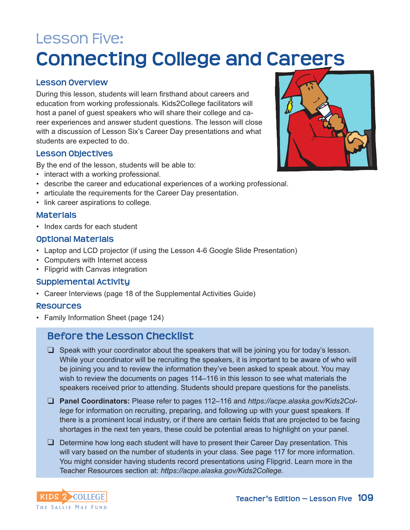# Lesson Five: **Connecting College and Careers**

#### **Lesson Overview**

During this lesson, students will learn firsthand about careers and education from working professionals. Kids2College facilitators will host a panel of guest speakers who will share their college and career experiences and answer student questions. The lesson will close with a discussion of Lesson Six's Career Day presentations and what students are expected to do.

#### **Lesson Objectives**

By the end of the lesson, students will be able to:

- interact with a working professional.
- describe the career and educational experiences of a working professional.
- articulate the requirements for the Career Day presentation.
- link career aspirations to college.

#### **Materials**

• Index cards for each student

#### **Optional Materials**

- Laptop and LCD projector (if using the Lesson 4-6 Google Slide Presentation)
- Computers with Internet access
- Flipgrid with Canvas integration

#### **Supplemental Activity**

• Career Interviews (page 18 of the Supplemental Activities Guide)

#### **Resources**

• Family Information Sheet (page 124)

#### **Before the Lesson Checklist**

- $\Box$  Speak with your coordinator about the speakers that will be joining you for today's lesson. While your coordinator will be recruiting the speakers, it is important to be aware of who will be joining you and to review the information they've been asked to speak about. You may wish to review the documents on pages 114–116 in this lesson to see what materials the speakers received prior to attending. Students should prepare questions for the panelists.
- □ **Panel Coordinators:** Please refer to pages 112–116 and *https://acpe.alaska.gov/Kids2College* for information on recruiting, preparing, and following up with your guest speakers. If there is a prominent local industry, or if there are certain fields that are projected to be facing shortages in the next ten years, these could be potential areas to highlight on your panel.
- $\Box$  Determine how long each student will have to present their Career Day presentation. This will vary based on the number of students in your class. See page 117 for more information. You might consider having students record presentations using Flipgrid. Learn more in the Teacher Resources section at: *https://acpe.alaska.gov/Kids2College.*



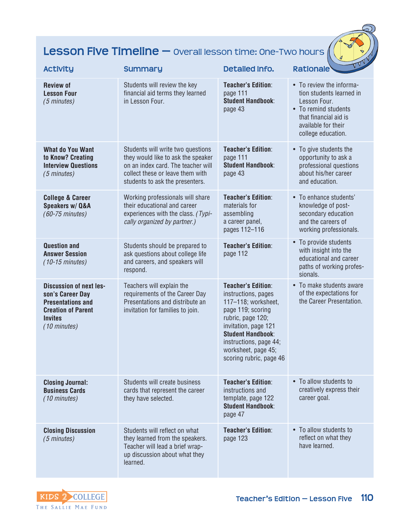## **Lesson Five Timeline —** overall lesson time: One-Two hours  $\left(\frac{1}{2}\right)$

| <b>Activity</b>                                                                                                                               | <b>Summary</b>                                                                                                                                                                       | Detailed Info.                                                                                                                                                                                                                                    | <b>Rationale</b>                                                                                                                                                   |
|-----------------------------------------------------------------------------------------------------------------------------------------------|--------------------------------------------------------------------------------------------------------------------------------------------------------------------------------------|---------------------------------------------------------------------------------------------------------------------------------------------------------------------------------------------------------------------------------------------------|--------------------------------------------------------------------------------------------------------------------------------------------------------------------|
| <b>Review of</b><br><b>Lesson Four</b><br>(5 minutes)                                                                                         | Students will review the key<br>financial aid terms they learned<br>in Lesson Four.                                                                                                  | <b>Teacher's Edition:</b><br>page 111<br><b>Student Handbook:</b><br>page 43                                                                                                                                                                      | • To review the informa-<br>tion students learned in<br>Lesson Four.<br>• To remind students<br>that financial aid is<br>available for their<br>college education. |
| <b>What do You Want</b><br>to Know? Creating<br><b>Interview Questions</b><br>(5 minutes)                                                     | Students will write two questions<br>they would like to ask the speaker<br>on an index card. The teacher will<br>collect these or leave them with<br>students to ask the presenters. | <b>Teacher's Edition:</b><br>page 111<br><b>Student Handbook:</b><br>page 43                                                                                                                                                                      | • To give students the<br>opportunity to ask a<br>professional questions<br>about his/her career<br>and education.                                                 |
| <b>College &amp; Career</b><br>Speakers w/ Q&A<br>(60-75 minutes)                                                                             | Working professionals will share<br>their educational and career<br>experiences with the class. (Typi-<br>cally organized by partner.)                                               | <b>Teacher's Edition:</b><br>materials for<br>assembling<br>a career panel,<br>pages 112-116                                                                                                                                                      | • To enhance students'<br>knowledge of post-<br>secondary education<br>and the careers of<br>working professionals.                                                |
| <b>Question and</b><br><b>Answer Session</b><br>$(10-15 \text{ minutes})$                                                                     | Students should be prepared to<br>ask questions about college life<br>and careers, and speakers will<br>respond.                                                                     | <b>Teacher's Edition:</b><br>page 112                                                                                                                                                                                                             | • To provide students<br>with insight into the<br>educational and career<br>paths of working profes-<br>sionals.                                                   |
| <b>Discussion of next les-</b><br>son's Career Day<br><b>Presentations and</b><br><b>Creation of Parent</b><br><b>Invites</b><br>(10 minutes) | Teachers will explain the<br>requirements of the Career Day<br>Presentations and distribute an<br>invitation for families to join.                                                   | <b>Teacher's Edition:</b><br>instructions, pages<br>117-118; worksheet,<br>page 119; scoring<br>rubric, page 120;<br>invitation, page 121<br><b>Student Handbook:</b><br>instructions, page 44;<br>worksheet, page 45;<br>scoring rubric, page 46 | • To make students aware<br>of the expectations for<br>the Career Presentation.                                                                                    |
| <b>Closing Journal:</b><br><b>Business Cards</b><br>(10 minutes)                                                                              | Students will create business<br>cards that represent the career<br>they have selected.                                                                                              | <b>Teacher's Edition:</b><br>instructions and<br>template, page 122<br><b>Student Handbook:</b><br>page 47                                                                                                                                        | • To allow students to<br>creatively express their<br>career goal.                                                                                                 |
| <b>Closing Discussion</b><br>$(5 \text{ minutes})$                                                                                            | Students will reflect on what<br>they learned from the speakers.<br>Teacher will lead a brief wrap-<br>up discussion about what they<br>learned.                                     | <b>Teacher's Edition:</b><br>page 123                                                                                                                                                                                                             | • To allow students to<br>reflect on what they<br>have learned.                                                                                                    |

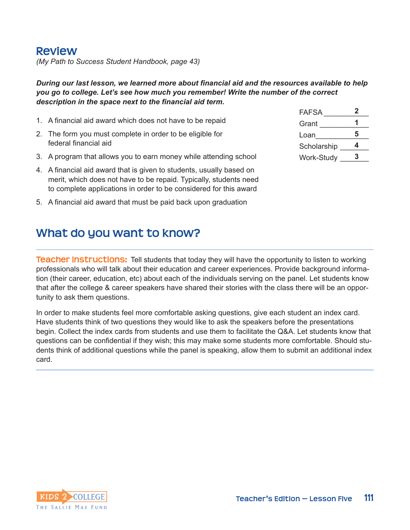### **Review**

*(My Path to Success Student Handbook, page 43)*

*During our last lesson, we learned more about financial aid and the resources available to help you go to college. Let's see how much you remember! Write the number of the correct description in the space next to the financial aid term.*

- 1. A financial aid award which does not have to be repaid
- 2. The form you must complete in order to be eligible for federal financial aid
- 3. A program that allows you to earn money while attending school
- 4. A financial aid award that is given to students, usually based on merit, which does not have to be repaid. Typically, students need to complete applications in order to be considered for this award
- 5. A financial aid award that must be paid back upon graduation

## **What do you want to know?**

FAFSA \_\_\_\_\_\_\_\_\_\_\_ Grant \_\_\_\_\_\_\_\_\_\_\_\_ Loan Scholarship Work-Study \_\_\_\_ **2 1 5 4 3**

**Teacher Instructions:** Tell students that today they will have the opportunity to listen to working professionals who will talk about their education and career experiences. Provide background information (their career, education, etc) about each of the individuals serving on the panel. Let students know that after the college & career speakers have shared their stories with the class there will be an opportunity to ask them questions.

In order to make students feel more comfortable asking questions, give each student an index card. Have students think of two questions they would like to ask the speakers before the presentations begin. Collect the index cards from students and use them to facilitate the Q&A. Let students know that questions can be confidential if they wish; this may make some students more comfortable. Should students think of additional questions while the panel is speaking, allow them to submit an additional index card.

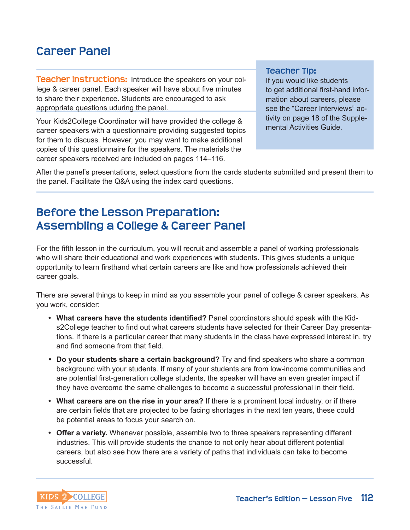## **Career Panel**

**Teacher Instructions:** Introduce the speakers on your college & career panel. Each speaker will have about five minutes to share their experience. Students are encouraged to ask appropriate questions uduring the panel.

Your Kids2College Coordinator will have provided the college & career speakers with a questionnaire providing suggested topics for them to discuss. However, you may want to make additional copies of this questionnaire for the speakers. The materials the career speakers received are included on pages 114–116.

#### **Teacher Tip:**

If you would like students to get additional first-hand information about careers, please see the "Career Interviews" activity on page 18 of the Supplemental Activities Guide.

After the panel's presentations, select questions from the cards students submitted and present them to the panel. Facilitate the Q&A using the index card questions.

## **Before the Lesson Preparation: Assembling a College & Career Panel**

For the fifth lesson in the curriculum, you will recruit and assemble a panel of working professionals who will share their educational and work experiences with students. This gives students a unique opportunity to learn firsthand what certain careers are like and how professionals achieved their career goals.

There are several things to keep in mind as you assemble your panel of college & career speakers. As you work, consider:

- **• What careers have the students identified?** Panel coordinators should speak with the Kids2College teacher to find out what careers students have selected for their Career Day presentations. If there is a particular career that many students in the class have expressed interest in, try and find someone from that field.
- *•* **Do your students share a certain background?** Try and find speakers who share a common background with your students. If many of your students are from low-income communities and are potential first-generation college students, the speaker will have an even greater impact if they have overcome the same challenges to become a successful professional in their field.
- **• What careers are on the rise in your area?** If there is a prominent local industry, or if there are certain fields that are projected to be facing shortages in the next ten years, these could be potential areas to focus your search on.
- **• Offer a variety.** Whenever possible, assemble two to three speakers representing different industries. This will provide students the chance to not only hear about different potential careers, but also see how there are a variety of paths that individuals can take to become successful.

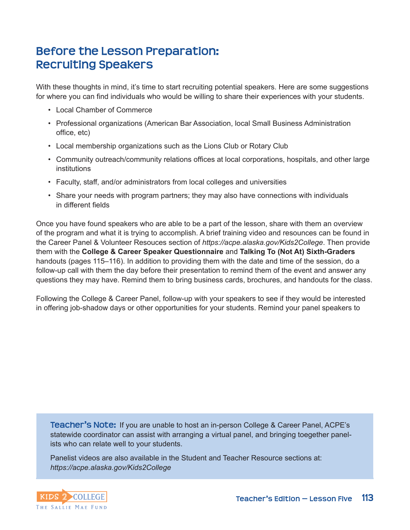## **Before the Lesson Preparation: Recruiting Speakers**

With these thoughts in mind, it's time to start recruiting potential speakers. Here are some suggestions for where you can find individuals who would be willing to share their experiences with your students.

- Local Chamber of Commerce
- Professional organizations (American Bar Association, local Small Business Administration office, etc)
- Local membership organizations such as the Lions Club or Rotary Club
- Community outreach/community relations offices at local corporations, hospitals, and other large institutions
- Faculty, staff, and/or administrators from local colleges and universities
- Share your needs with program partners; they may also have connections with individuals in different fields

Once you have found speakers who are able to be a part of the lesson, share with them an overview of the program and what it is trying to accomplish. A brief training video and resounces can be found in the Career Panel & Volunteer Resouces section of *https://acpe.alaska.gov/Kids2College*. Then provide them with the **College & Career Speaker Questionnaire** and **Talking To (Not At) Sixth-Graders** handouts (pages 115–116). In addition to providing them with the date and time of the session, do a follow-up call with them the day before their presentation to remind them of the event and answer any questions they may have. Remind them to bring business cards, brochures, and handouts for the class.

Following the College & Career Panel, follow-up with your speakers to see if they would be interested in offering job-shadow days or other opportunities for your students. Remind your panel speakers to

**Teacher's Note:** If you are unable to host an in-person College & Career Panel, ACPE's statewide coordinator can assist with arranging a virtual panel, and bringing toegether panelists who can relate well to your students.

Panelist videos are also available in the Student and Teacher Resource sections at: *https://acpe.alaska.gov/Kids2College*

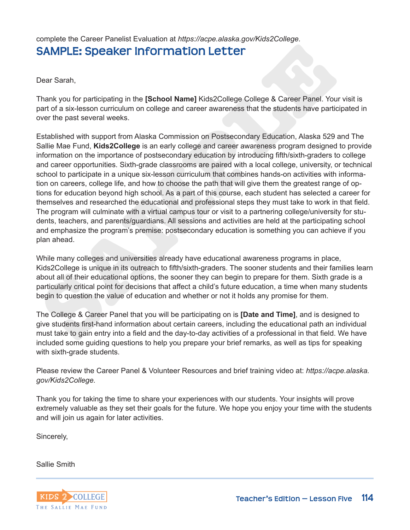complete the Career Panelist Evaluation at *https://acpe.alaska.gov/Kids2College.* **SAMPLE: Speaker Information Letter**

Dear Sarah,

Thank you for participating in the **[School Name]** Kids2College College & Career Panel. Your visit is part of a six-lesson curriculum on college and career awareness that the students have participated in over the past several weeks.

**SAMPLE: Speaker Information Letter**<br>Dear Sarah,<br>Dear Sarah,<br>Thank you for participating in the [School Name] Kids2College College & Career Panel. You<br>onto f a six-lesson curriculum on college and career awareness that the Established with support from Alaska Commission on Postsecondary Education, Alaska 529 and The Sallie Mae Fund, **Kids2College** is an early college and career awareness program designed to provide information on the importance of postsecondary education by introducing fifth/sixth-graders to college and career opportunities. Sixth-grade classrooms are paired with a local college, university, or technical school to participate in a unique six-lesson curriculum that combines hands-on activities with information on careers, college life, and how to choose the path that will give them the greatest range of options for education beyond high school. As a part of this course, each student has selected a career for themselves and researched the educational and professional steps they must take to work in that field. The program will culminate with a virtual campus tour or visit to a partnering college/university for students, teachers, and parents/guardians. All sessions and activities are held at the participating school and emphasize the program's premise: postsecondary education is something you can achieve if you plan ahead.

While many colleges and universities already have educational awareness programs in place, Kids2College is unique in its outreach to fifth/sixth-graders. The sooner students and their families learn about all of their educational options, the sooner they can begin to prepare for them. Sixth grade is a particularly critical point for decisions that affect a child's future education, a time when many students begin to question the value of education and whether or not it holds any promise for them.

The College & Career Panel that you will be participating on is **[Date and Time]**, and is designed to give students first-hand information about certain careers, including the educational path an individual must take to gain entry into a field and the day-to-day activities of a professional in that field. We have included some guiding questions to help you prepare your brief remarks, as well as tips for speaking with sixth-grade students.

Please review the Career Panel & Volunteer Resources and brief training video at: *https://acpe.alaska. gov/Kids2College.*

Thank you for taking the time to share your experiences with our students. Your insights will prove extremely valuable as they set their goals for the future. We hope you enjoy your time with the students and will join us again for later activities.

Sincerely,

Sallie Smith

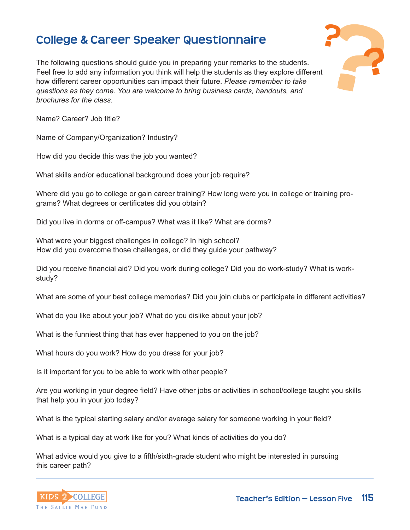## **College & Career Speaker Questionnaire ?**



The following questions should guide you in preparing your remarks to the students. Feel free to add any information you think will help the students as they explore different how different career opportunities can impact their future. *Please remember to take questions as they come. You are welcome to bring business cards, handouts, and brochures for the class.*

Name? Career? Job title?

Name of Company/Organization? Industry?

How did you decide this was the job you wanted?

What skills and/or educational background does your job require?

Where did you go to college or gain career training? How long were you in college or training programs? What degrees or certificates did you obtain?

Did you live in dorms or off-campus? What was it like? What are dorms?

What were your biggest challenges in college? In high school? How did you overcome those challenges, or did they guide your pathway?

Did you receive financial aid? Did you work during college? Did you do work-study? What is workstudy?

What are some of your best college memories? Did you join clubs or participate in different activities?

What do you like about your job? What do you dislike about your job?

What is the funniest thing that has ever happened to you on the job?

What hours do you work? How do you dress for your job?

Is it important for you to be able to work with other people?

Are you working in your degree field? Have other jobs or activities in school/college taught you skills that help you in your job today?

What is the typical starting salary and/or average salary for someone working in your field?

What is a typical day at work like for you? What kinds of activities do you do?

What advice would you give to a fifth/sixth-grade student who might be interested in pursuing this career path?

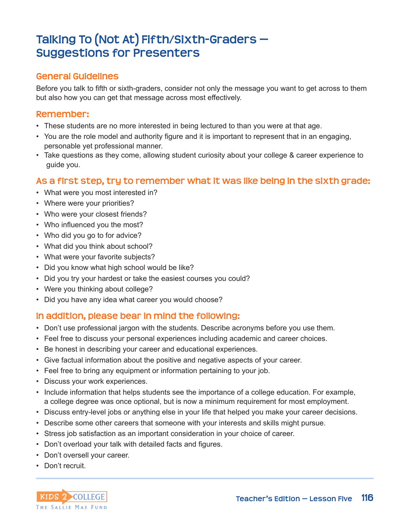## **Talking To (Not At) Fifth/Sixth-Graders — Suggestions for Presenters**

#### **General Guidelines**

Before you talk to fifth or sixth-graders, consider not only the message you want to get across to them but also how you can get that message across most effectively.

#### **Remember:**

- These students are no more interested in being lectured to than you were at that age.
- You are the role model and authority figure and it is important to represent that in an engaging, personable yet professional manner.
- Take questions as they come, allowing student curiosity about your college & career experience to guide you.

#### **As a first step, try to remember what it was like being in the sixth grade:**

- What were you most interested in?
- Where were your priorities?
- Who were your closest friends?
- Who influenced you the most?
- Who did you go to for advice?
- What did you think about school?
- What were your favorite subjects?
- Did you know what high school would be like?
- Did you try your hardest or take the easiest courses you could?
- Were you thinking about college?
- Did you have any idea what career you would choose?

#### **In addition, please bear in mind the following:**

- Don't use professional jargon with the students. Describe acronyms before you use them.
- Feel free to discuss your personal experiences including academic and career choices.
- Be honest in describing your career and educational experiences.
- Give factual information about the positive and negative aspects of your career.
- Feel free to bring any equipment or information pertaining to your job.
- Discuss your work experiences.
- Include information that helps students see the importance of a college education. For example, a college degree was once optional, but is now a minimum requirement for most employment.
- Discuss entry-level jobs or anything else in your life that helped you make your career decisions.
- Describe some other careers that someone with your interests and skills might pursue.
- Stress job satisfaction as an important consideration in your choice of career.
- Don't overload your talk with detailed facts and figures.
- Don't oversell your career.
- Don't recruit.

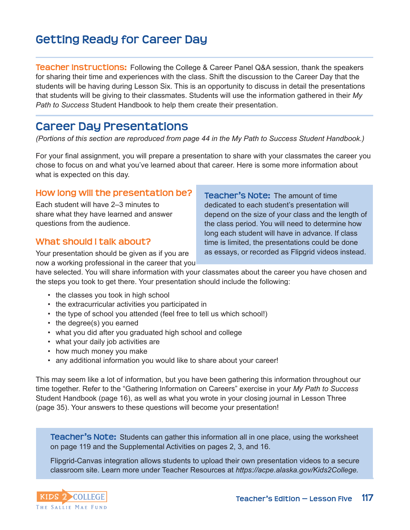## **Getting Ready for Career Day**

**Teacher Instructions:** Following the College & Career Panel Q&A session, thank the speakers for sharing their time and experiences with the class. Shift the discussion to the Career Day that the students will be having during Lesson Six. This is an opportunity to discuss in detail the presentations that students will be giving to their classmates. Students will use the information gathered in their *My Path to Success* Student Handbook to help them create their presentation.

## **Career Day Presentations**

*(Portions of this section are reproduced from page 44 in the My Path to Success Student Handbook.)*

For your final assignment, you will prepare a presentation to share with your classmates the career you chose to focus on and what you've learned about that career. Here is some more information about what is expected on this day.

#### **How long will the presentation be?**

Each student will have 2–3 minutes to share what they have learned and answer questions from the audience.

#### **What should I talk about?**

Your presentation should be given as if you are now a working professional in the career that you **Teacher's Note:** The amount of time dedicated to each student's presentation will depend on the size of your class and the length of the class period. You will need to determine how long each student will have in advance. If class time is limited, the presentations could be done as essays, or recorded as Flipgrid videos instead.

have selected. You will share information with your classmates about the career you have chosen and the steps you took to get there. Your presentation should include the following:

- the classes you took in high school
- the extracurricular activities you participated in
- the type of school you attended (feel free to tell us which school!)
- the degree(s) you earned
- what you did after you graduated high school and college
- what your daily job activities are
- how much money you make
- any additional information you would like to share about your career!

This may seem like a lot of information, but you have been gathering this information throughout our time together. Refer to the "Gathering Information on Careers" exercise in your *My Path to Success* Student Handbook (page 16), as well as what you wrote in your closing journal in Lesson Three (page 35). Your answers to these questions will become your presentation!

**Teacher's Note:** Students can gather this information all in one place, using the worksheet on page 119 and the Supplemental Activities on pages 2, 3, and 16.

Flipgrid-Canvas integration allows students to upload their own presentation videos to a secure classroom site. Learn more under Teacher Resources at *https://acpe.alaska.gov/Kids2College.*

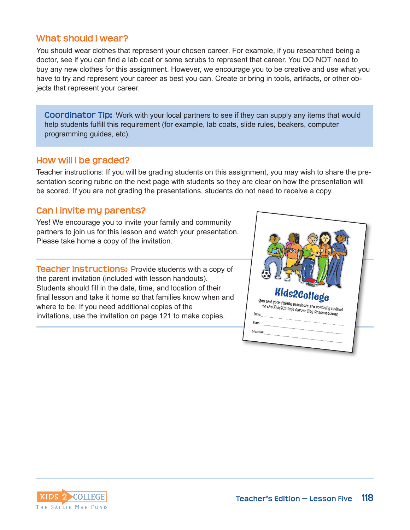#### **What should I wear?**

You should wear clothes that represent your chosen career. For example, if you researched being a doctor, see if you can find a lab coat or some scrubs to represent that career. You DO NOT need to buy any new clothes for this assignment. However, we encourage you to be creative and use what you have to try and represent your career as best you can. Create or bring in tools, artifacts, or other objects that represent your career.

**Coordinator Tip:** Work with your local partners to see if they can supply any items that would help students fulfill this requirement (for example, lab coats, slide rules, beakers, computer programming guides, etc).

#### **How will I be graded?**

Teacher instructions: If you will be grading students on this assignment, you may wish to share the presentation scoring rubric on the next page with students so they are clear on how the presentation will be scored. If you are not grading the presentations, students do not need to receive a copy.

#### **Can I invite my parents?**

Yes! We encourage you to invite your family and community partners to join us for this lesson and watch your presentation. Please take home a copy of the invitation.

**Teacher Instructions: Provide students with a copy of** the parent invitation (included with lesson handouts). Students should fill in the date, time, and location of their final lesson and take it home so that families know when and where to be. If you need additional copies of the invitations, use the invitation on page 121 to make copies.



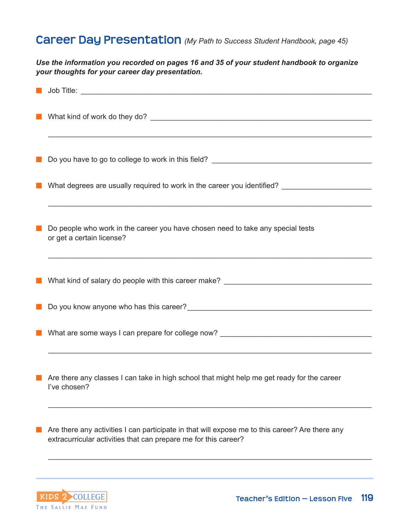## **Career Day Presentation** *(My Path to Success Student Handbook, page 45)*

*Use the information you recorded on pages 16 and 35 of your student handbook to organize your thoughts for your career day presentation.*

|       | Do you have to go to college to work in this field? _____________________________                                                                                  |
|-------|--------------------------------------------------------------------------------------------------------------------------------------------------------------------|
|       |                                                                                                                                                                    |
| a a s | Do people who work in the career you have chosen need to take any special tests<br>or get a certain license?                                                       |
|       |                                                                                                                                                                    |
|       |                                                                                                                                                                    |
|       |                                                                                                                                                                    |
|       | $\blacksquare$ Are there any classes I can take in high school that might help me get ready for the career<br>I've chosen?                                         |
|       | Are there any activities I can participate in that will expose me to this career? Are there any<br>extracurricular activities that can prepare me for this career? |
|       |                                                                                                                                                                    |
|       |                                                                                                                                                                    |

KIDS 2 COLLEGE THE SALLIE MAE FUND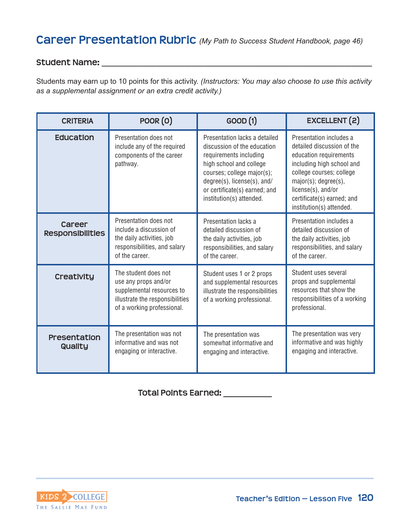#### **Student Name: \_\_\_\_\_\_\_\_\_\_\_\_\_\_\_\_\_\_\_\_\_\_\_\_\_\_\_\_\_\_\_\_\_\_\_\_\_\_\_\_\_\_\_\_\_\_\_\_\_\_\_\_\_\_\_\_\_\_\_\_\_\_\_\_\_\_**

Students may earn up to 10 points for this activity. *(Instructors: You may also choose to use this activity as a supplemental assignment or an extra credit activity.)*

| <b>CRITERIA</b>                   | <b>POOR (O)</b>                                                                                                                            | GOOD (1)                                                                                                                                                                                                                                    | EXCELLENT (2)                                                                                                                                                                                                                                    |
|-----------------------------------|--------------------------------------------------------------------------------------------------------------------------------------------|---------------------------------------------------------------------------------------------------------------------------------------------------------------------------------------------------------------------------------------------|--------------------------------------------------------------------------------------------------------------------------------------------------------------------------------------------------------------------------------------------------|
| <b>Education</b>                  | Presentation does not<br>include any of the required<br>components of the career<br>pathway.                                               | Presentation lacks a detailed<br>discussion of the education<br>requirements including<br>high school and college<br>courses; college major(s);<br>degree(s), license(s), and/<br>or certificate(s) earned; and<br>institution(s) attended. | Presentation includes a<br>detailed discussion of the<br>education requirements<br>including high school and<br>college courses; college<br>major(s); degree(s),<br>license(s), and/or<br>certificate(s) earned; and<br>institution(s) attended. |
| Career<br><b>Responsibilities</b> | Presentation does not<br>include a discussion of<br>the daily activities, job<br>responsibilities, and salary<br>of the career.            | Presentation lacks a<br>detailed discussion of<br>the daily activities, job<br>responsibilities, and salary<br>of the career.                                                                                                               | Presentation includes a<br>detailed discussion of<br>the daily activities, job<br>responsibilities, and salary<br>of the career.                                                                                                                 |
| Creativity                        | The student does not<br>use any props and/or<br>supplemental resources to<br>illustrate the responsibilities<br>of a working professional. | Student uses 1 or 2 props<br>and supplemental resources<br>illustrate the responsibilities<br>of a working professional.                                                                                                                    | Student uses several<br>props and supplemental<br>resources that show the<br>responsibilities of a working<br>professional.                                                                                                                      |
| <b>Presentation</b><br>Quality    | The presentation was not<br>informative and was not<br>engaging or interactive.                                                            | The presentation was<br>somewhat informative and<br>engaging and interactive.                                                                                                                                                               | The presentation was very<br>informative and was highly<br>engaging and interactive.                                                                                                                                                             |

#### **Total Points Earned: \_\_\_\_\_\_\_\_\_\_**

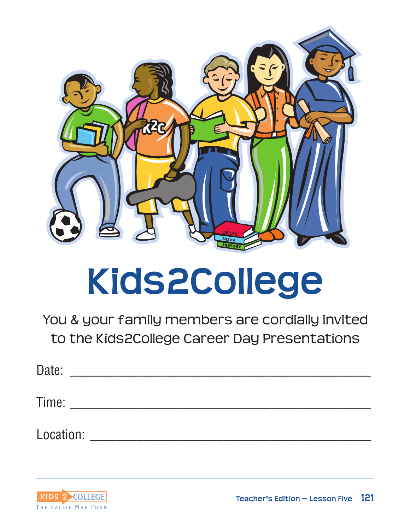

# **Kids2College**

You & your family members are cordially invited to the Kids2College Career Day Presentations

| Date:     |  |
|-----------|--|
| Time:     |  |
| Location: |  |

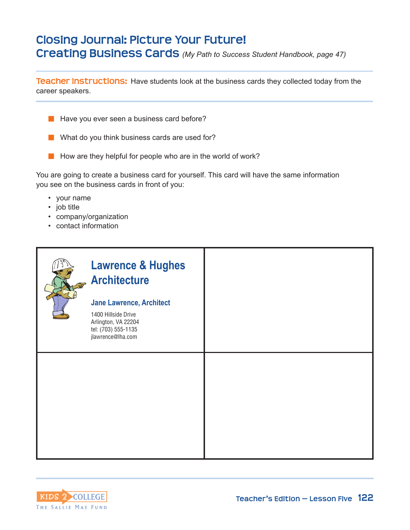## **Closing Journal: Picture Your Future! Creating Business Cards** *(My Path to Success Student Handbook, page 47)*

**Teacher Instructions:** Have students look at the business cards they collected today from the career speakers.



- $\blacksquare$  What do you think business cards are used for?
- $\blacksquare$  How are they helpful for people who are in the world of work?

You are going to create a business card for yourself. This card will have the same information you see on the business cards in front of you:

- your name
- job title
- company/organization
- contact information



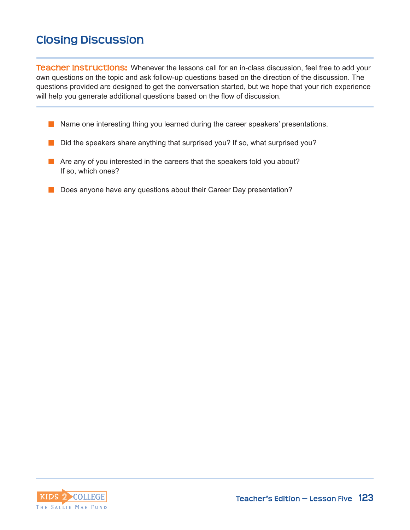## **Closing Discussion**

**Teacher Instructions:** Whenever the lessons call for an in-class discussion, feel free to add your own questions on the topic and ask follow-up questions based on the direction of the discussion. The questions provided are designed to get the conversation started, but we hope that your rich experience will help you generate additional questions based on the flow of discussion.

- **n** Name one interesting thing you learned during the career speakers' presentations.
- $\blacksquare$  Did the speakers share anything that surprised you? If so, what surprised you?
- $\blacksquare$  Are any of you interested in the careers that the speakers told you about? If so, which ones?
- Does anyone have any questions about their Career Day presentation?